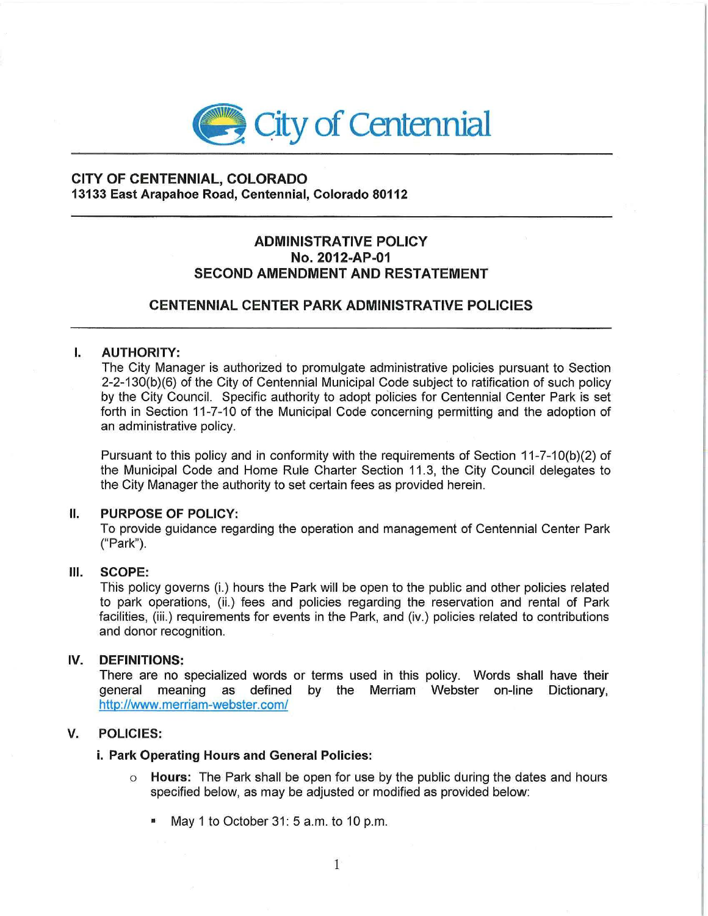

## **CITY OF CENTENNIAL, COLORADO 13133 East Arapahoe Road, Centennial, Colorado 80112**

# **ADMINISTRATIVE POLICY No. 2012-AP-01 SECOND AMENDMENT AND RESTATEMENT**

# **CENTENNIAL CENTER PARK ADMINISTRATIVE POLICIES**

### I. **AUTHORITY:**

The City Manager is authorized to promulgate administrative policies pursuant to Section 2-2-130(b)(6) of the City of Centennial Municipal Code subject to ratification of such policy by the City Council. Specific authority to adopt policies for Centennial Center Park is set forth in Section 11-7-10 of the Municipal Code concerning permitting and the adoption of an administrative policy.

Pursuant to this policy and in conformity with the requirements of Section 11-7-10(b)(2) of the Municipal Code and Home Rule Charter Section 11.3, the City Council delegates to the City Manager the authority to set certain fees as provided herein.

#### II. **PURPOSE OF POLICY:**

To provide guidance regarding the operation and management of Centennial Center Park ("Park").

#### Ill. **SCOPE:**

This policy governs (i.) hours the Park will be open to the public and other policies related to park operations, (ii.) fees and policies regarding the reservation and rental of Park facilities, (iii.) requirements for events in the Park, and (iv.) policies related to contributions and donor recognition.

#### IV. **DEFINITIONS:**

There are no specialized words or terms used in this policy. Words shall have their general meaning as defined by the Merriam Webster on-line Dictionary, http://www. merriam-webster. com/

### **V. POLICIES:**

#### **i. Park Operating Hours and General Policies:**

- o **Hours:** The Park shall be open for use by the public during the dates and hours specified below, as may be adjusted or modified as provided below:
	- May 1 to October 31: 5 a.m. to 10 p.m.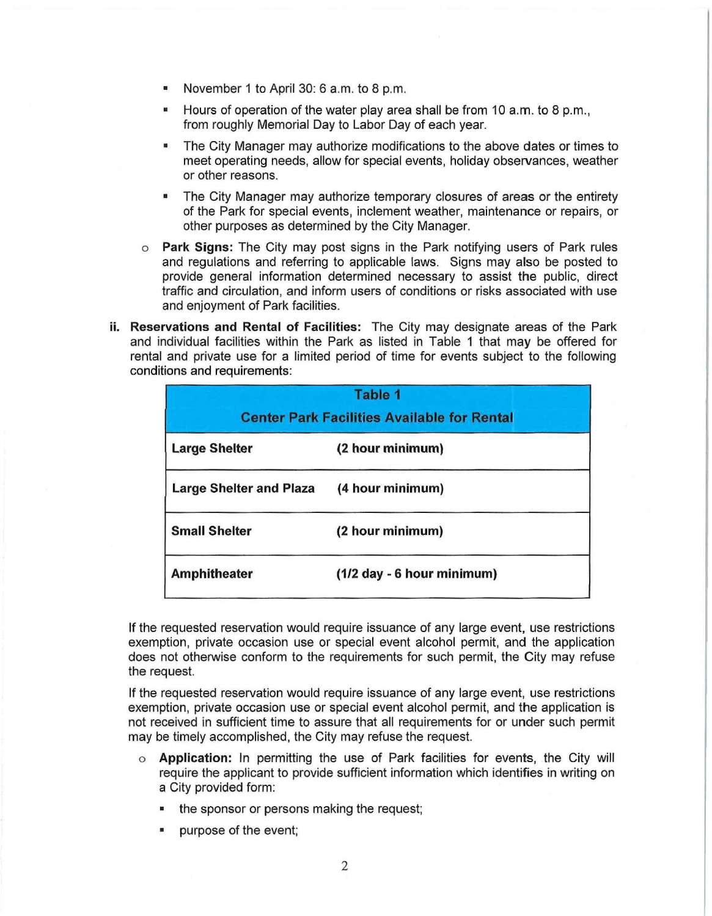- November 1 to April 30: 6 a.m. to 8 p.m.
- Hours of operation of the water play area shall be from 10 a.m. to 8 p.m., from roughly Memorial Day to Labor Day of each year.
- The City Manager may authorize modifications to the above dates or times to meet operating needs, allow for special events, holiday observances, weather or other reasons.
- The City Manager may authorize temporary closures of areas or the entirety of the Park for special events, inclement weather, maintenance or repairs, or other purposes as determined by the City Manager.
- o **Park Signs:** The City may post signs in the Park notifying users of Park rules and regulations and referring to applicable laws. Signs may also be posted to provide general information determined necessary to assist the public, direct traffic and circulation, and inform users of conditions or risks associated with use and enjoyment of Park facilities.
- **ii. Reservations and Rental of Facilities:** The City may designate areas of the Park and individual facilities within the Park as listed in Table 1 that may be offered for rental and private use for a limited period of time for events subject to the following conditions and requirements:

| <b>Table 1</b><br><b>Center Park Facilities Available for Rental</b> |                            |
|----------------------------------------------------------------------|----------------------------|
| <b>Large Shelter</b>                                                 | (2 hour minimum)           |
| <b>Large Shelter and Plaza</b>                                       | (4 hour minimum)           |
| <b>Small Shelter</b>                                                 | (2 hour minimum)           |
| <b>Amphitheater</b>                                                  | (1/2 day - 6 hour minimum) |

If the requested reservation would require issuance of any large event, use restrictions exemption, private occasion use or special event alcohol permit, and the application does not otherwise conform to the requirements for such permit, the City may refuse the request.

If the requested reservation would require issuance of any large event, use restrictions exemption, private occasion use or special event alcohol permit, and the application is not received in sufficient time to assure that all requirements for or under such permit may be timely accomplished, the City may refuse the request.

- o **Application:** In permitting the use of Park facilities for events, the City will require the applicant to provide sufficient information which identifies in writing on a City provided form:
	- the sponsor or persons making the request;
	- purpose of the event;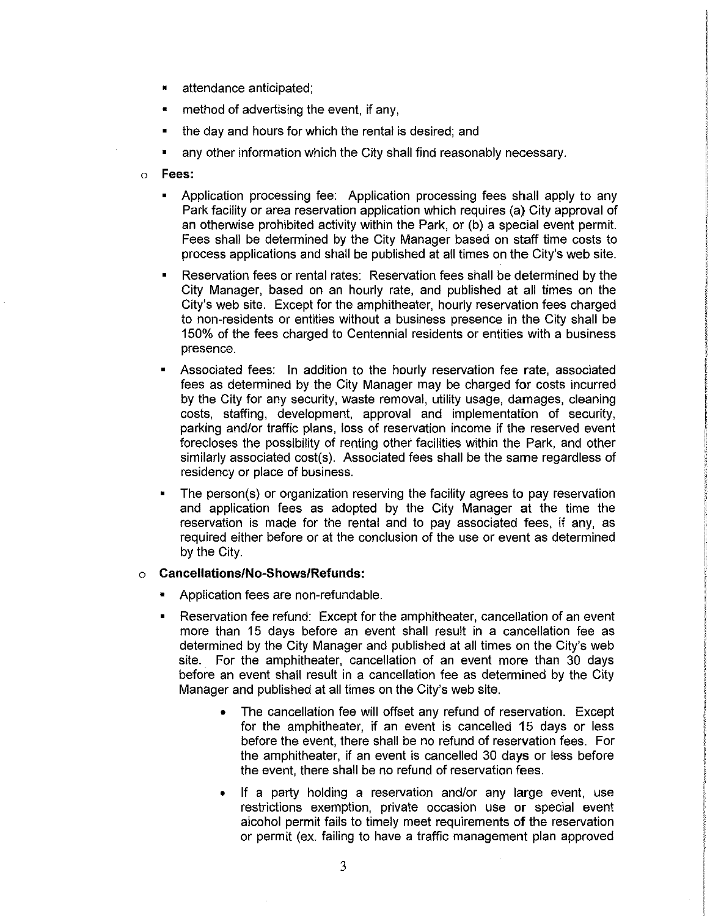- attendance anticipated;
- method of advertising the event, if any,
- the day and hours for which the rental is desired; and
- any other information which the City shall find reasonably necessary.
- o **Fees:** 
	- Application processing fee: Application processing fees shall apply to any Park facility or area reservation application which requires (a) City approval of an otherwise prohibited activity within the Park, or (b) a special event permit. Fees shall be determined by the City Manager based on staff time costs to process applications and shall be published at all times on the City's web site.
	- Reservation fees or rental rates: Reservation fees shall be determined by the City Manager, based on an hourly rate, and published at all times on the City's web site. Except for the amphitheater, hourly reservation fees charged to non-residents or entities without a business presence in the City shall be 150% of the fees charged to Centennial residents or entities with a business presence.
	- Associated fees: In addition to the hourly reservation fee rate, associated fees as determined by the City Manager may be charged for costs incurred by the City for any security, waste removal, utility usage, damages, cleaning costs, staffing, development, approval and implementation of security, parking and/or traffic plans, loss of reservation income if the reserved event forecloses the possibility of renting other facilities within the Park, and other similarly associated cost(s). Associated fees shall be the same regardless of residency or place of business.
	- The person(s) or organization reserving the facility agrees to pay reservation and application fees as adopted by the City Manager at the time the reservation is made for the rental and to pay associated fees, if any, as required either before or at the conclusion of the use or event as determined by the City.

#### o **Cancellations/No-Shows/Refunds:**

- Application fees are non-refundable.
- Reservation fee refund: Except for the amphitheater, cancellation of an event more than 15 days before an event shall result in a cancellation fee as determined by the City Manager and published at all times on the City's web site. For the amphitheater, cancellation of an event more than 30 days before an event shall result in a cancellation fee as determined by the City Manager and published at all times on the City's web site.
	- The cancellation fee will offset any refund of reservation. Except for the amphitheater, if an event is cancelled 15 days or less before the event, there shall be no refund of reservation fees. For the amphitheater, if an event is cancelled 30 days or less before the event, there shall be no refund of reservation fees.
	- If a party holding a reservation and/or any large event, use restrictions exemption, private occasion use or special event alcohol permit fails to timely meet requirements of the reservation or permit (ex. failing to have a traffic management plan approved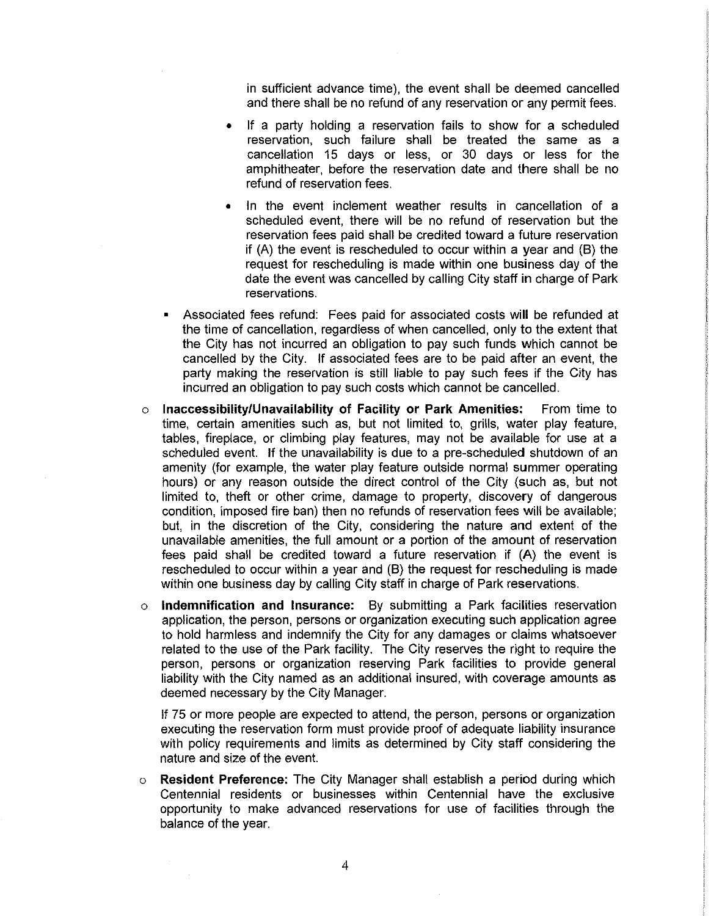in sufficient advance time), the event shall be deemed cancelled and there shall be no refund of any reservation or any permit fees.

- If a party holding a reservation fails to show for a scheduled reservation, such failure shall be treated the same as a cancellation 15 days or less, or 30 days or less for the amphitheater, before the reservation date and there shall be no refund of reservation fees.
- In the event inclement weather results in cancellation of a scheduled event, there will be no refund of reservation but the reservation fees paid shall be credited toward a future reservation if (A) the event is rescheduled to occur within a year and (B) the request for rescheduling is made within one business day of the date the event was cancelled by calling City staff in charge of Park reservations.
- Associated fees refund: Fees paid for associated costs will be refunded at the time of cancellation, regardless of when cancelled, only to the extent that the City has not incurred an obligation to pay such funds which cannot be cancelled by the City. If associated fees are to be paid after an event, the party making the reservation is still liable to pay such fees if the City has incurred an obligation to pay such costs which cannot be cancelled.
- o **Inaccessibility/Unavailability of Facility or Park Amenities:** From time to time, certain amenities such as, but not limited to, grills, water play feature, tables, fireplace, or climbing play features, may not be available for use at a scheduled event. If the unavailability is due to a pre-scheduled shutdown of an amenity (for example, the water play feature outside normal summer operating hours) or any reason outside the direct control of the City (such as, but not limited to, theft or other crime, damage to property, discovery of dangerous condition, imposed fire ban) then no refunds of reservation fees will be available; but, in the discretion of the City, considering the nature and extent of the unavailable amenities, the full amount or a portion of the amount of reservation fees paid shall be credited toward a future reservation if (A) the event is rescheduled to occur within a year and (B) the request for rescheduling is made within one business day by calling City staff in charge of Park reservations.
- o **Indemnification and Insurance:** By submitting a Park facilities reservation application, the person, persons or organization executing such application agree to hold harmless and indemnify the City for any damages or claims whatsoever related to the use of the Park facility. The City reserves the right to require the person, persons or organization reserving Park facilities to provide general liability with the City named as an additional insured, with coverage amounts as deemed necessary by the City Manager.

If 75 or more people are expected to attend, the person, persons or organization executing the reservation form must provide proof of adequate liability insurance with policy requirements and limits as determined by City staff considering the nature and size of the event.

o **Resident Preference:** The City Manager shall establish a period during which Centennial residents or businesses within Centennial have the exclusive opportunity to make advanced reservations for use of facilities through the balance of the year.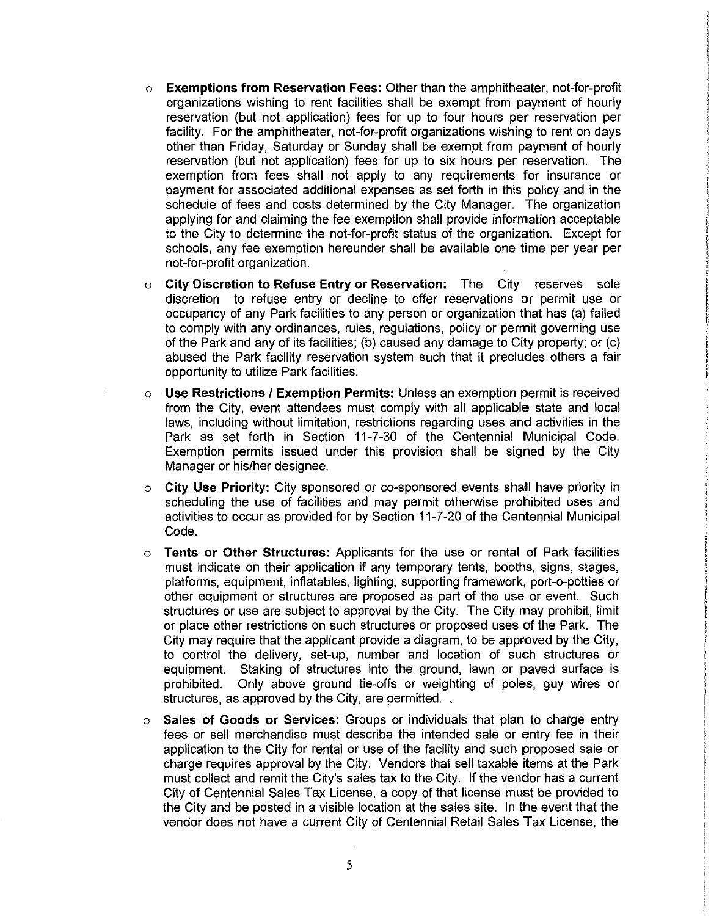- o **Exemptions from Reservation Fees:** Other than the amphitheater, not-for-profit organizations wishing to rent facilities shall be exempt from payment of hourly reservation (but not application) fees for up to four hours per reservation per facility. For the amphitheater, not-for-profit organizations wishing to rent on days other than Friday, Saturday or Sunday shall be exempt from payment of hourly reservation (but not application) fees for up to six hours per reservation. The exemption from fees shall not apply to any requirements for insurance or payment for associated additional expenses as set forth in this policy and in the schedule of fees and costs determined by the City Manager. The organization applying for and claiming the fee exemption shall provide information acceptable to the City to determine the not-for-profit status of the organization. Except for schools, any fee exemption hereunder shall be available one time per year per not-for-profit organization.
- o **City Discretion to Refuse Entry or Reservation:** The City reserves sole discretion to refuse entry or decline to offer reservations or permit use or occupancy of any Park facilities to any person or organization that has (a) failed to comply with any ordinances, rules, regulations, policy or permit governing use of the Park and any of its facilities; (b) caused any damage to City property; or (c) abused the Park facility reservation system such that it precludes others a fair opportunity to utilize Park facilities.
- o **Use Restrictions I Exemption Permits:** Unless an exemption permit is received from the City, event attendees must comply with all applicable state and local laws, including without limitation, restrictions regarding uses and activities in the Park as set forth in Section 11-7-30 of the Centennial Municipal Code. Exemption permits issued under this provision shall be signed by the City Manager or his/her designee.
- **City Use Priority:** City sponsored or co-sponsored events shall have priority in scheduling the use of facilities and may permit otherwise prohibited uses and activities to occur as provided for by Section 11-7-20 of the Centennial Municipal Code.
- o **Tents or Other Structures:** Applicants for the use or rental of Park facilities must indicate on their application if any temporary tents, booths, signs, stages, platforms, equipment, inflatables, lighting, supporting framework, port-o-potties or other equipment or structures are proposed as part of the use or event. Such structures or use are subject to approval by the City. The City may prohibit, limit or place other restrictions on such structures or proposed uses of the Park. The City may require that the applicant provide a diagram, to be approved by the City, to control the delivery, set-up, number and location of such structures or equipment. Staking of structures into the ground, lawn or paved surface is prohibited. Only above ground tie-offs or weighting of poles, guy wires or structures, as approved by the City, are permitted...
- o **Sales of Goods or Services:** Groups or individuals that plan to charge entry fees or sell merchandise must describe the intended sale or entry fee in their application to the City for rental or use of the facility and such proposed sale or charge requires approval by the City. Vendors that sell taxable items at the Park must collect and remit the City's sales tax to the City. If the vendor has a current City of Centennial Sales Tax License, a copy of that license must be provided to the City and be posted in a visible location at the sales site. In the event that the vendor does not have a current City of Centennial Retail Sales Tax License, the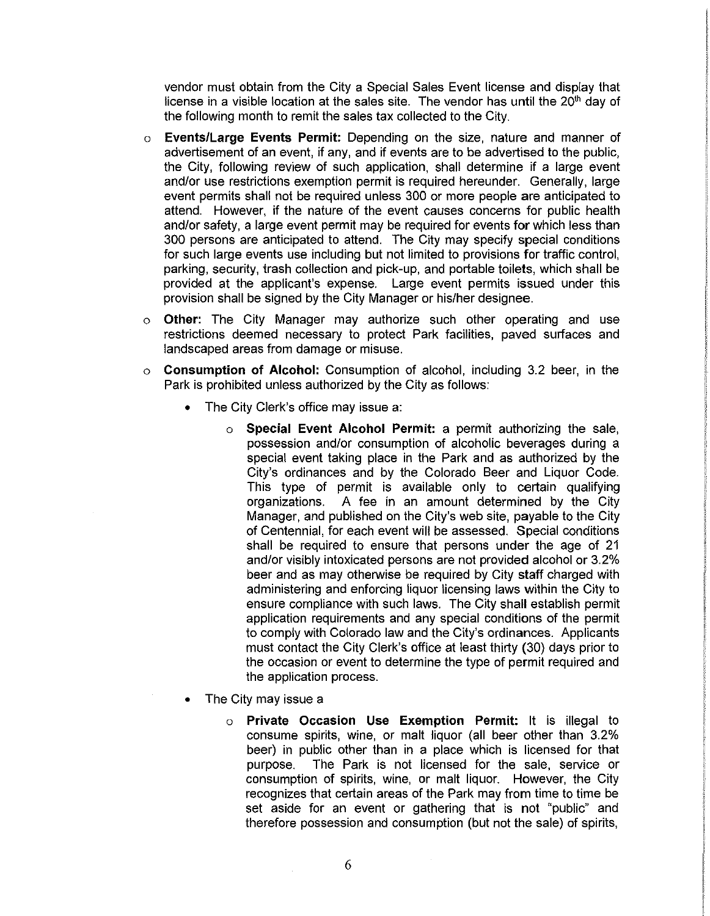vendor must obtain from the City a Special Sales Event license and display that license in a visible location at the sales site. The vendor has until the 20<sup>th</sup> day of the following month to remit the sales tax collected to the City.

- o **Events/Large Events Permit:** Depending on the size, nature and manner of advertisement of an event, if any, and if events are to be advertised to the public, the City, following review of such application, shall determine if a large event and/or use restrictions exemption permit is required hereunder. Generally, large event permits shall not be required unless 300 or more people are anticipated to attend. However, if the nature of the event causes concerns for public health and/or safety, a large event permit may be required for events for which less than 300 persons are anticipated to attend. The City may specify special conditions for such large events use including but not limited to provisions for traffic control, parking, security, trash collection and pick-up, and portable toilets, which shall be provided at the applicant's expense. Large event permits issued under this provision shall be signed by the City Manager or his/her designee.
- o **Other:** The City Manager may authorize such other operating and use restrictions deemed necessary to protect Park facilities, paved surfaces and landscaped areas from damage or misuse.
- o **Consumption of Alcohol:** Consumption of alcohol, including 3.2 beer, in the Park is prohibited unless authorized by the City as follows:
	- The City Clerk's office may issue a:
		- o **Special Event Alcohol Permit:** a permit authorizing the sale, possession and/or consumption of alcoholic beverages during a special event taking place in the Park and as authorized by the City's ordinances and by the Colorado Beer and Liquor Code. This type of permit is available only to certain qualifying organizations. A fee in an amount determined by the City Manager, and published on the City's web site, payable to the City of Centennial, for each event will be assessed. Special conditions shall be required to ensure that persons under the age of 21 and/or visibly intoxicated persons are not provided alcohol or 3.2% beer and as may otherwise be required by City staff charged with administering and enforcing liquor licensing laws within the City to ensure compliance with such laws. The City shall establish permit application requirements and any special conditions of the permit to comply with Colorado law and the City's ordinances. Applicants must contact the City Clerk's office at least thirty (30) days prior to the occasion or event to determine the type of permit required and the application process.
	- The City may issue a
		- o **Private Occasion Use Exemption Permit:** It is illegal to consume spirits, wine, or malt liquor (all beer other than 3.2% beer) in public other than in a place which is licensed for that purpose. The Park is not licensed for the sale, service or consumption of spirits, wine, or malt liquor. However, the City recognizes that certain areas of the Park may from time to time be set aside for an event or gathering that is not "public" and therefore possession and consumption (but not the sale) of spirits,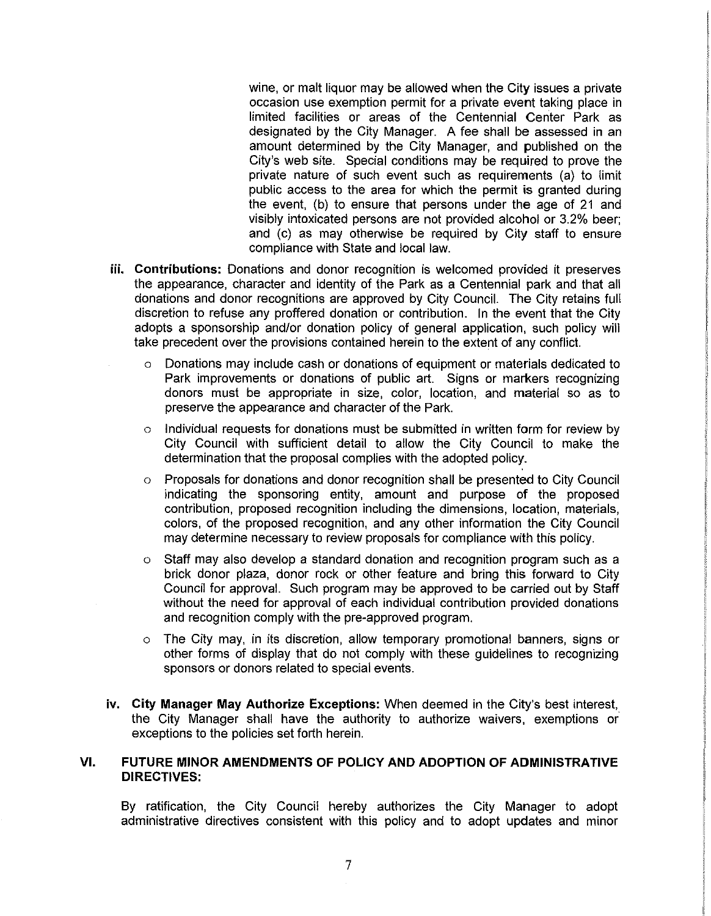wine, or malt liquor may be allowed when the City issues a private occasion use exemption permit for a private event taking place in limited facilities or areas of the Centennial Center Park as designated by the City Manager. A fee shall be assessed in an amount determined by the City Manager, and published on the City's web site. Special conditions may be required to prove the private nature of such event such as requirements (a) to limit public access to the area for which the permit is granted during the event, {b) to ensure that persons under the age of 21 and visibly intoxicated persons are not provided alcohol or 3.2% beer; and (c) as may otherwise be required by City staff to ensure compliance with State and local law.

- **iii. Contributions:** Donations and donor recognition is welcomed provided it preserves the appearance, character and identity of the Park as a Centennial park and that all donations and donor recognitions are approved by City Council. The City retains full discretion to refuse any proffered donation or contribution. In the event that the City adopts a sponsorship and/or donation policy of general application, such policy will take precedent over the provisions contained herein to the extent of any conflict.
	- o Donations may include cash or donations of equipment or materials dedicated to Park improvements or donations of public art. Signs or markers recognizing donors must be appropriate in size, color, location, and material so as to preserve the appearance and character of the Park.
	- $\circ$  Individual requests for donations must be submitted in written form for review by City Council with sufficient detail to allow the City Council to make the determination that the proposal complies with the adopted policy.
	- o Proposals for donations and donor recognition shall be presented to City Council indicating the sponsoring entity, amount and purpose of the proposed contribution, proposed recognition including the dimensions, location, materials, colors, of the proposed recognition, and any other information the City Council may determine necessary to review proposals for compliance with this policy.
	- o Staff may also develop a standard donation and recognition program such as a brick donor plaza, donor rock or other feature and bring this forward to City Council for approval. Such program may be approved to be carried out by Staff without the need for approval of each individual contribution provided donations and recognition comply with the pre-approved program.
	- o The City may, in its discretion, allow temporary promotional banners, signs or other forms of display that do not comply with these guidelines to recognizing sponsors or donors related to special events.
- **iv. City Manager May Authorize Exceptions:** When deemed in the City's best interest, the City Manager shall have the authority to authorize waivers, exemptions or exceptions to the policies set forth herein.

## **VI. FUTURE MINOR AMENDMENTS OF POLICY AND ADOPTION OF ADMINISTRATIVE DIRECTIVES:**

By ratification, the City Council hereby authorizes the City Manager to adopt administrative directives consistent with this policy and to adopt updates and minor